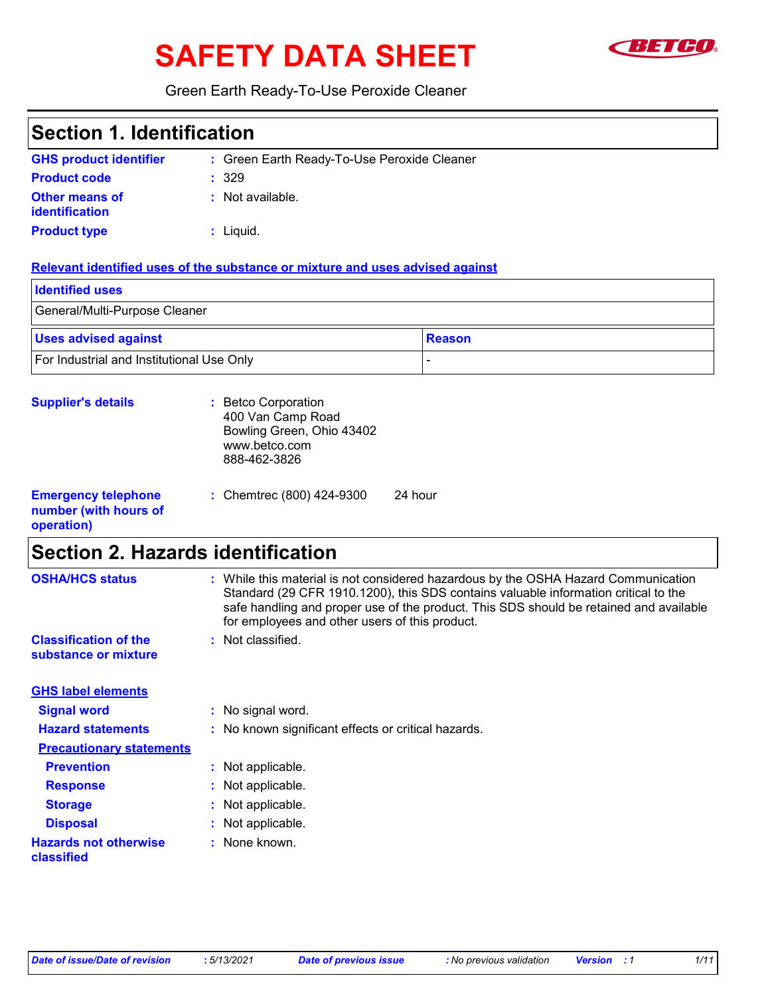# SAFETY DATA SHEET **SAFETY**



Green Earth Ready-To-Use Peroxide Cleaner

| <b>Section 1. Identification</b>                                  |                                                                                                                                                                                                                                                                                                                                            |
|-------------------------------------------------------------------|--------------------------------------------------------------------------------------------------------------------------------------------------------------------------------------------------------------------------------------------------------------------------------------------------------------------------------------------|
| <b>GHS product identifier</b>                                     | : Green Earth Ready-To-Use Peroxide Cleaner                                                                                                                                                                                                                                                                                                |
| <b>Product code</b>                                               | 329                                                                                                                                                                                                                                                                                                                                        |
| <b>Other means of</b>                                             | : Not available.                                                                                                                                                                                                                                                                                                                           |
| identification                                                    |                                                                                                                                                                                                                                                                                                                                            |
| <b>Product type</b>                                               | : Liquid.                                                                                                                                                                                                                                                                                                                                  |
|                                                                   | Relevant identified uses of the substance or mixture and uses advised against                                                                                                                                                                                                                                                              |
| <b>Identified uses</b>                                            |                                                                                                                                                                                                                                                                                                                                            |
| General/Multi-Purpose Cleaner                                     |                                                                                                                                                                                                                                                                                                                                            |
| <b>Uses advised against</b>                                       | <b>Reason</b>                                                                                                                                                                                                                                                                                                                              |
| For Industrial and Institutional Use Only                         |                                                                                                                                                                                                                                                                                                                                            |
| <b>Supplier's details</b>                                         | : Betco Corporation<br>400 Van Camp Road<br>Bowling Green, Ohio 43402<br>www.betco.com<br>888-462-3826                                                                                                                                                                                                                                     |
| <b>Emergency telephone</b><br>number (with hours of<br>operation) | 24 hour<br>: Chemtrec (800) 424-9300                                                                                                                                                                                                                                                                                                       |
| <b>Section 2. Hazards identification</b>                          |                                                                                                                                                                                                                                                                                                                                            |
| <b>OSHA/HCS status</b><br><b>Classification of the</b>            | : While this material is not considered hazardous by the OSHA Hazard Communication<br>Standard (29 CFR 1910.1200), this SDS contains valuable information critical to the<br>safe handling and proper use of the product. This SDS should be retained and available<br>for employees and other users of this product.<br>: Not classified. |
| substance or mixture                                              |                                                                                                                                                                                                                                                                                                                                            |
| <b>GHS label elements</b>                                         |                                                                                                                                                                                                                                                                                                                                            |
| <b>Signal word</b>                                                | No signal word.<br>÷.                                                                                                                                                                                                                                                                                                                      |
| <b>Hazard statements</b>                                          | No known significant effects or critical hazards.                                                                                                                                                                                                                                                                                          |
| <b>Precautionary statements</b>                                   |                                                                                                                                                                                                                                                                                                                                            |
| <b>Prevention</b>                                                 | Not applicable.<br>÷.                                                                                                                                                                                                                                                                                                                      |
| <b>Response</b>                                                   | Not applicable.                                                                                                                                                                                                                                                                                                                            |
| <b>Storage</b>                                                    | Not applicable.                                                                                                                                                                                                                                                                                                                            |
| <b>Disposal</b>                                                   | Not applicable.                                                                                                                                                                                                                                                                                                                            |
| <b>Hazards not otherwise</b><br>classified                        | None known.                                                                                                                                                                                                                                                                                                                                |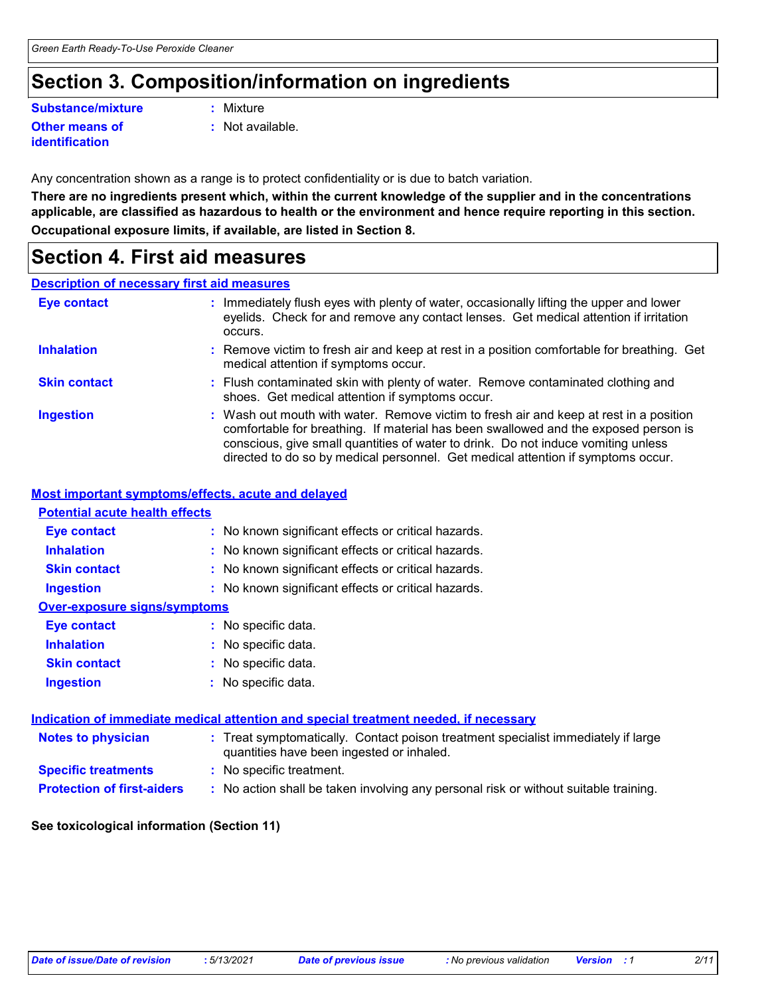# **Section 3. Composition/information on ingredients**

#### **Other means of Substance/mixture :**

**identification**

: Mixture

**:** Not available.

Any concentration shown as a range is to protect confidentiality or is due to batch variation.

**There are no ingredients present which, within the current knowledge of the supplier and in the concentrations applicable, are classified as hazardous to health or the environment and hence require reporting in this section. Occupational exposure limits, if available, are listed in Section 8.**

### **Section 4. First aid measures**

#### **Description of necessary first aid measures**

| <b>Eye contact</b>  | : Immediately flush eyes with plenty of water, occasionally lifting the upper and lower<br>eyelids. Check for and remove any contact lenses. Get medical attention if irritation<br>occurs.                                                                                                                                                            |
|---------------------|--------------------------------------------------------------------------------------------------------------------------------------------------------------------------------------------------------------------------------------------------------------------------------------------------------------------------------------------------------|
| <b>Inhalation</b>   | : Remove victim to fresh air and keep at rest in a position comfortable for breathing. Get<br>medical attention if symptoms occur.                                                                                                                                                                                                                     |
| <b>Skin contact</b> | : Flush contaminated skin with plenty of water. Remove contaminated clothing and<br>shoes. Get medical attention if symptoms occur.                                                                                                                                                                                                                    |
| <b>Ingestion</b>    | : Wash out mouth with water. Remove victim to fresh air and keep at rest in a position<br>comfortable for breathing. If material has been swallowed and the exposed person is<br>conscious, give small quantities of water to drink. Do not induce vomiting unless<br>directed to do so by medical personnel. Get medical attention if symptoms occur. |

#### **Most important symptoms/effects, acute and delayed**

#### **Notes to physician <b>:** Treat symptomatically. Contact poison treatment specialist immediately if large quantities have been ingested or inhaled. **Specific treatments :** No specific treatment. **Inhalation <b>:** No known significant effects or critical hazards. **Ingestion :** No known significant effects or critical hazards. **Skin contact :** No known significant effects or critical hazards. **Eye contact :** No known significant effects or critical hazards. **Over-exposure signs/symptoms Skin contact Ingestion Inhalation :** No specific data. No specific data. **:** No specific data. **: Eye contact :** No specific data. **Potential acute health effects Indication of immediate medical attention and special treatment needed, if necessary**

**Protection of first-aiders** : No action shall be taken involving any personal risk or without suitable training.

#### **See toxicological information (Section 11)**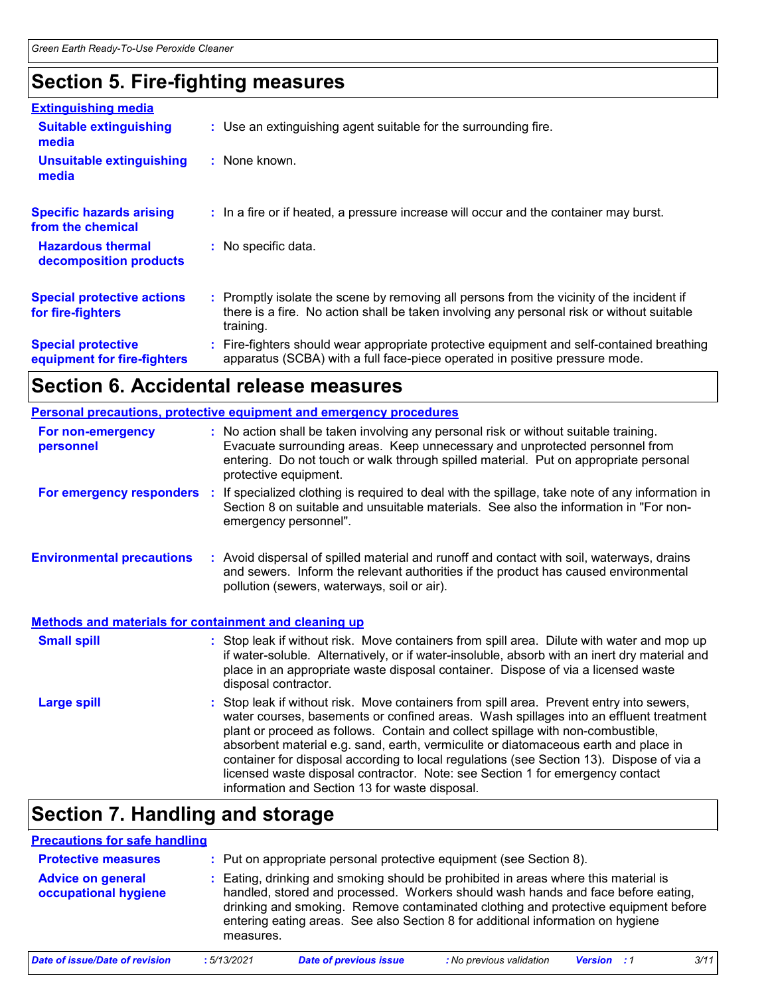### **Section 5. Fire-fighting measures**

| <b>Extinguishing media</b>                               |                                                                                                                                                                                                     |  |
|----------------------------------------------------------|-----------------------------------------------------------------------------------------------------------------------------------------------------------------------------------------------------|--|
| <b>Suitable extinguishing</b><br>media                   | : Use an extinguishing agent suitable for the surrounding fire.                                                                                                                                     |  |
| <b>Unsuitable extinguishing</b><br>media                 | : None known.                                                                                                                                                                                       |  |
| <b>Specific hazards arising</b><br>from the chemical     | : In a fire or if heated, a pressure increase will occur and the container may burst.                                                                                                               |  |
| <b>Hazardous thermal</b><br>decomposition products       | : No specific data.                                                                                                                                                                                 |  |
| <b>Special protective actions</b><br>for fire-fighters   | : Promptly isolate the scene by removing all persons from the vicinity of the incident if<br>there is a fire. No action shall be taken involving any personal risk or without suitable<br>training. |  |
| <b>Special protective</b><br>equipment for fire-fighters | : Fire-fighters should wear appropriate protective equipment and self-contained breathing<br>apparatus (SCBA) with a full face-piece operated in positive pressure mode.                            |  |

# **Section 6. Accidental release measures**

|                                                              | <b>Personal precautions, protective equipment and emergency procedures</b>                                                                                                                                                                                                                                                                                                                                                                                                                                                                                                                 |  |  |  |
|--------------------------------------------------------------|--------------------------------------------------------------------------------------------------------------------------------------------------------------------------------------------------------------------------------------------------------------------------------------------------------------------------------------------------------------------------------------------------------------------------------------------------------------------------------------------------------------------------------------------------------------------------------------------|--|--|--|
| <b>For non-emergency</b><br>personnel                        | : No action shall be taken involving any personal risk or without suitable training.<br>Evacuate surrounding areas. Keep unnecessary and unprotected personnel from<br>entering. Do not touch or walk through spilled material. Put on appropriate personal<br>protective equipment.                                                                                                                                                                                                                                                                                                       |  |  |  |
|                                                              | For emergency responders : If specialized clothing is required to deal with the spillage, take note of any information in<br>Section 8 on suitable and unsuitable materials. See also the information in "For non-<br>emergency personnel".                                                                                                                                                                                                                                                                                                                                                |  |  |  |
| <b>Environmental precautions</b>                             | : Avoid dispersal of spilled material and runoff and contact with soil, waterways, drains<br>and sewers. Inform the relevant authorities if the product has caused environmental<br>pollution (sewers, waterways, soil or air).                                                                                                                                                                                                                                                                                                                                                            |  |  |  |
| <b>Methods and materials for containment and cleaning up</b> |                                                                                                                                                                                                                                                                                                                                                                                                                                                                                                                                                                                            |  |  |  |
| <b>Small spill</b>                                           | : Stop leak if without risk. Move containers from spill area. Dilute with water and mop up<br>if water-soluble. Alternatively, or if water-insoluble, absorb with an inert dry material and<br>place in an appropriate waste disposal container. Dispose of via a licensed waste<br>disposal contractor.                                                                                                                                                                                                                                                                                   |  |  |  |
| <b>Large spill</b>                                           | : Stop leak if without risk. Move containers from spill area. Prevent entry into sewers,<br>water courses, basements or confined areas. Wash spillages into an effluent treatment<br>plant or proceed as follows. Contain and collect spillage with non-combustible,<br>absorbent material e.g. sand, earth, vermiculite or diatomaceous earth and place in<br>container for disposal according to local regulations (see Section 13). Dispose of via a<br>licensed waste disposal contractor. Note: see Section 1 for emergency contact<br>information and Section 13 for waste disposal. |  |  |  |

### **Section 7. Handling and storage**

| <b>Precautions for safe handling</b>             |            |                                                                                                                                                                                                                                                                                                                                                  |                          |                    |      |
|--------------------------------------------------|------------|--------------------------------------------------------------------------------------------------------------------------------------------------------------------------------------------------------------------------------------------------------------------------------------------------------------------------------------------------|--------------------------|--------------------|------|
| <b>Protective measures</b>                       |            | : Put on appropriate personal protective equipment (see Section 8).                                                                                                                                                                                                                                                                              |                          |                    |      |
| <b>Advice on general</b><br>occupational hygiene | measures.  | : Eating, drinking and smoking should be prohibited in areas where this material is<br>handled, stored and processed. Workers should wash hands and face before eating,<br>drinking and smoking. Remove contaminated clothing and protective equipment before<br>entering eating areas. See also Section 8 for additional information on hygiene |                          |                    |      |
| <b>Date of issue/Date of revision</b>            | :5/13/2021 | <b>Date of previous issue</b>                                                                                                                                                                                                                                                                                                                    | : No previous validation | <b>Version</b> : 1 | 3/11 |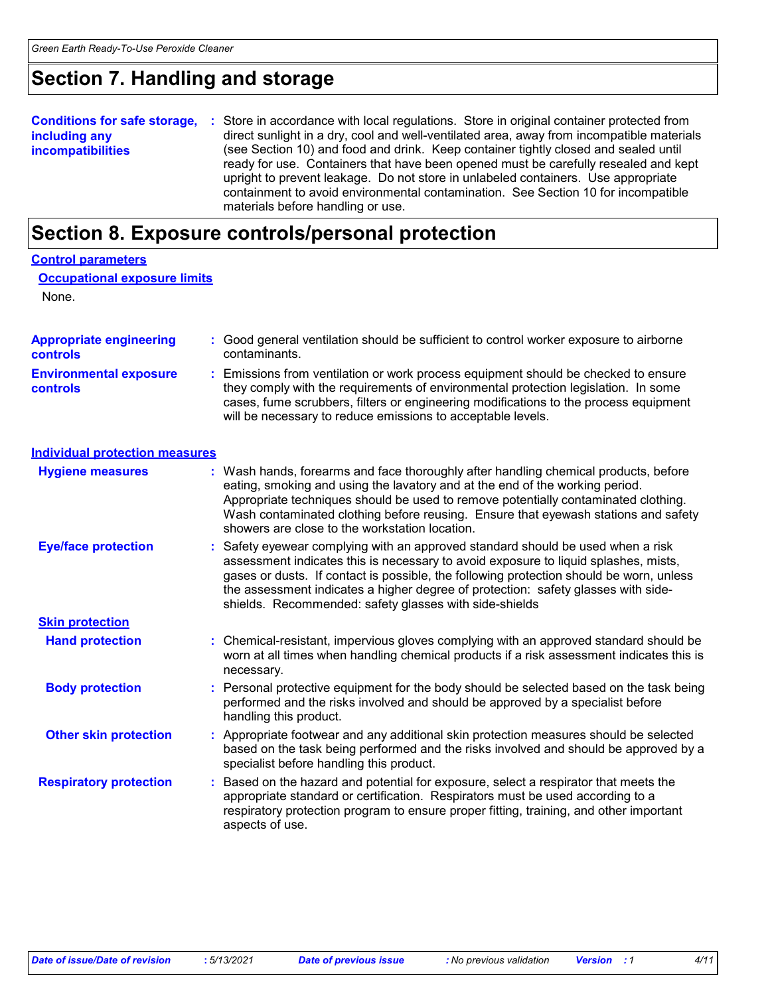### **Section 7. Handling and storage**

**Conditions for safe storage,** : Store in accordance with local regulations. Store in original container protected from **including any incompatibilities** direct sunlight in a dry, cool and well-ventilated area, away from incompatible materials (see Section 10) and food and drink. Keep container tightly closed and sealed until ready for use. Containers that have been opened must be carefully resealed and kept upright to prevent leakage. Do not store in unlabeled containers. Use appropriate containment to avoid environmental contamination. See Section 10 for incompatible materials before handling or use.

### **Section 8. Exposure controls/personal protection**

| <b>Control parameters</b>                  |                                                                                                                                                                                                                                                                                                                                                                                                                  |
|--------------------------------------------|------------------------------------------------------------------------------------------------------------------------------------------------------------------------------------------------------------------------------------------------------------------------------------------------------------------------------------------------------------------------------------------------------------------|
| <b>Occupational exposure limits</b>        |                                                                                                                                                                                                                                                                                                                                                                                                                  |
| None.                                      |                                                                                                                                                                                                                                                                                                                                                                                                                  |
|                                            |                                                                                                                                                                                                                                                                                                                                                                                                                  |
| <b>Appropriate engineering</b><br>controls | Good general ventilation should be sufficient to control worker exposure to airborne<br>contaminants.                                                                                                                                                                                                                                                                                                            |
| <b>Environmental exposure</b><br>controls  | : Emissions from ventilation or work process equipment should be checked to ensure<br>they comply with the requirements of environmental protection legislation. In some<br>cases, fume scrubbers, filters or engineering modifications to the process equipment<br>will be necessary to reduce emissions to acceptable levels.                                                                                  |
| <b>Individual protection measures</b>      |                                                                                                                                                                                                                                                                                                                                                                                                                  |
| <b>Hygiene measures</b>                    | : Wash hands, forearms and face thoroughly after handling chemical products, before<br>eating, smoking and using the lavatory and at the end of the working period.<br>Appropriate techniques should be used to remove potentially contaminated clothing.<br>Wash contaminated clothing before reusing. Ensure that eyewash stations and safety<br>showers are close to the workstation location.                |
| <b>Eye/face protection</b>                 | : Safety eyewear complying with an approved standard should be used when a risk<br>assessment indicates this is necessary to avoid exposure to liquid splashes, mists,<br>gases or dusts. If contact is possible, the following protection should be worn, unless<br>the assessment indicates a higher degree of protection: safety glasses with side-<br>shields. Recommended: safety glasses with side-shields |
| <b>Skin protection</b>                     |                                                                                                                                                                                                                                                                                                                                                                                                                  |
| <b>Hand protection</b>                     | : Chemical-resistant, impervious gloves complying with an approved standard should be<br>worn at all times when handling chemical products if a risk assessment indicates this is<br>necessary.                                                                                                                                                                                                                  |
| <b>Body protection</b>                     | Personal protective equipment for the body should be selected based on the task being<br>performed and the risks involved and should be approved by a specialist before<br>handling this product.                                                                                                                                                                                                                |
| <b>Other skin protection</b>               | : Appropriate footwear and any additional skin protection measures should be selected<br>based on the task being performed and the risks involved and should be approved by a<br>specialist before handling this product.                                                                                                                                                                                        |
| <b>Respiratory protection</b>              | Based on the hazard and potential for exposure, select a respirator that meets the<br>appropriate standard or certification. Respirators must be used according to a<br>respiratory protection program to ensure proper fitting, training, and other important<br>aspects of use.                                                                                                                                |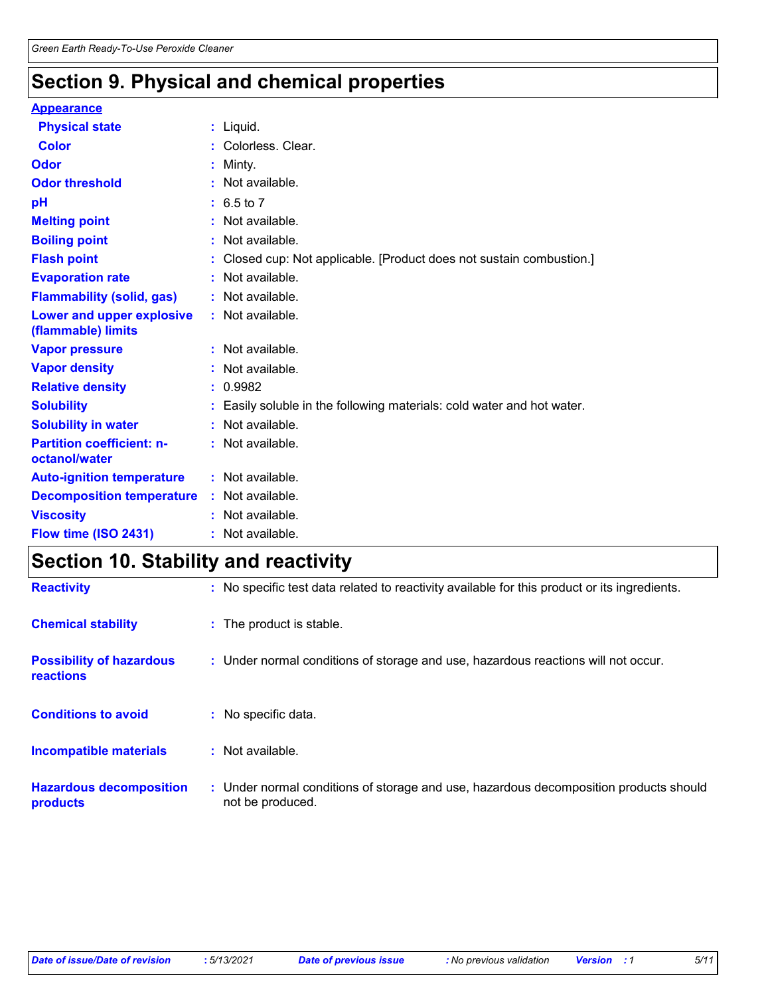# **Section 9. Physical and chemical properties**

#### **Appearance**

| <b>Physical state</b>                             | $:$ Liquid.                                                          |
|---------------------------------------------------|----------------------------------------------------------------------|
| <b>Color</b>                                      | Colorless, Clear.                                                    |
| Odor                                              | Minty.                                                               |
| <b>Odor threshold</b>                             | Not available.                                                       |
| pH                                                | $: 6.5 \text{ to } 7$                                                |
| <b>Melting point</b>                              | Not available.                                                       |
| <b>Boiling point</b>                              | Not available.                                                       |
| <b>Flash point</b>                                | Closed cup: Not applicable. [Product does not sustain combustion.]   |
| <b>Evaporation rate</b>                           | Not available.                                                       |
| <b>Flammability (solid, gas)</b>                  | : Not available.                                                     |
| Lower and upper explosive<br>(flammable) limits   | : Not available.                                                     |
| <b>Vapor pressure</b>                             | : Not available.                                                     |
| <b>Vapor density</b>                              | : Not available.                                                     |
| <b>Relative density</b>                           | : 0.9982                                                             |
| <b>Solubility</b>                                 | Easily soluble in the following materials: cold water and hot water. |
| <b>Solubility in water</b>                        | : Not available.                                                     |
| <b>Partition coefficient: n-</b><br>octanol/water | : Not available.                                                     |
| <b>Auto-ignition temperature</b>                  | : Not available.                                                     |
| <b>Decomposition temperature</b>                  | : Not available.                                                     |
| <b>Viscosity</b>                                  | Not available.                                                       |
| Flow time (ISO 2431)                              | : Not available.                                                     |

### **Section 10. Stability and reactivity**

| <b>Reactivity</b>                            | : No specific test data related to reactivity available for this product or its ingredients.              |
|----------------------------------------------|-----------------------------------------------------------------------------------------------------------|
| <b>Chemical stability</b>                    | : The product is stable.                                                                                  |
| <b>Possibility of hazardous</b><br>reactions | : Under normal conditions of storage and use, hazardous reactions will not occur.                         |
| <b>Conditions to avoid</b>                   | No specific data.                                                                                         |
| <b>Incompatible materials</b>                | : Not available.                                                                                          |
| <b>Hazardous decomposition</b><br>products   | : Under normal conditions of storage and use, hazardous decomposition products should<br>not be produced. |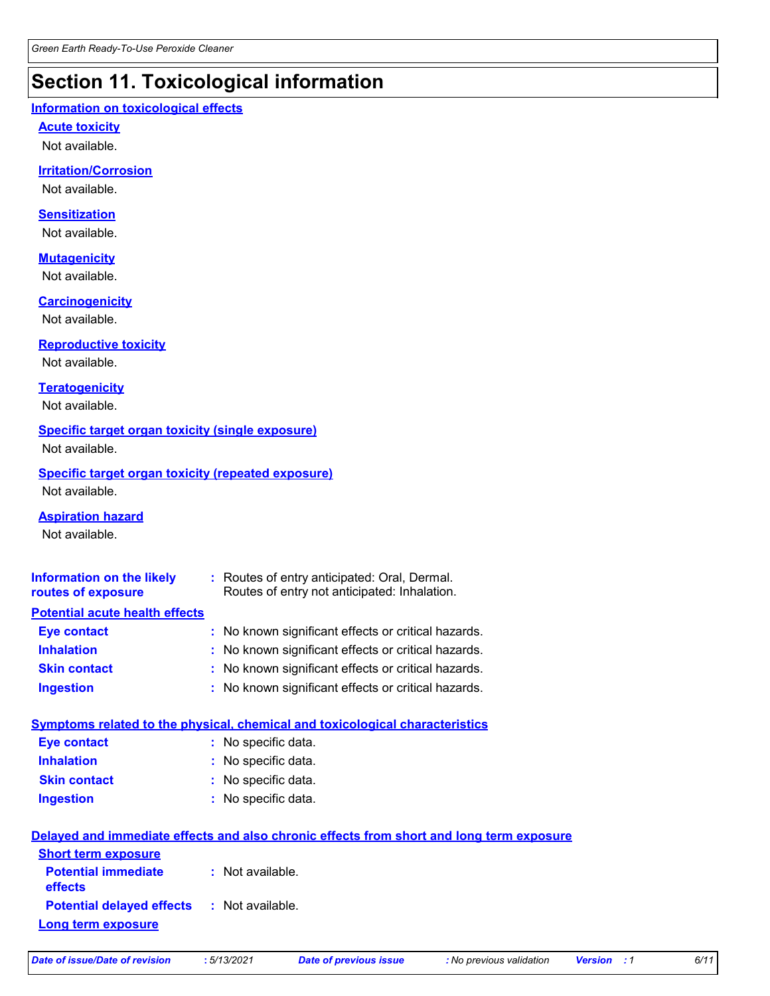### **Section 11. Toxicological information**

#### **Information on toxicological effects**

#### **Acute toxicity**

Not available.

#### **Irritation/Corrosion**

Not available.

#### **Sensitization**

Not available.

#### **Mutagenicity**

Not available.

#### **Carcinogenicity**

Not available.

#### **Reproductive toxicity**

Not available.

#### **Teratogenicity**

Not available.

#### **Specific target organ toxicity (single exposure)**

Not available.

#### **Specific target organ toxicity (repeated exposure)**

Not available.

#### **Aspiration hazard**

Not available.

| <b>Information on the likely</b><br>routes of exposure | : Routes of entry anticipated: Oral, Dermal.<br>Routes of entry not anticipated: Inhalation. |
|--------------------------------------------------------|----------------------------------------------------------------------------------------------|
| <b>Potential acute health effects</b>                  |                                                                                              |
| <b>Eye contact</b>                                     | : No known significant effects or critical hazards.                                          |
| <b>Inhalation</b>                                      | : No known significant effects or critical hazards.                                          |
| <b>Skin contact</b>                                    | : No known significant effects or critical hazards.                                          |
| <b>Ingestion</b>                                       | : No known significant effects or critical hazards.                                          |
|                                                        | Symptoms related to the physical, chemical and toxicological characteristics                 |

| <b>Eye contact</b>  | : No specific data. |
|---------------------|---------------------|
| <b>Inhalation</b>   | : No specific data. |
| <b>Skin contact</b> | : No specific data. |
| <b>Ingestion</b>    | : No specific data. |

| Delayed and immediate effects and also chronic effects from short and long term exposure |                  |  |  |
|------------------------------------------------------------------------------------------|------------------|--|--|
| <b>Short term exposure</b>                                                               |                  |  |  |
| <b>Potential immediate</b><br><b>effects</b>                                             | : Not available. |  |  |
| <b>Potential delayed effects : Not available.</b>                                        |                  |  |  |
| Long term exposure                                                                       |                  |  |  |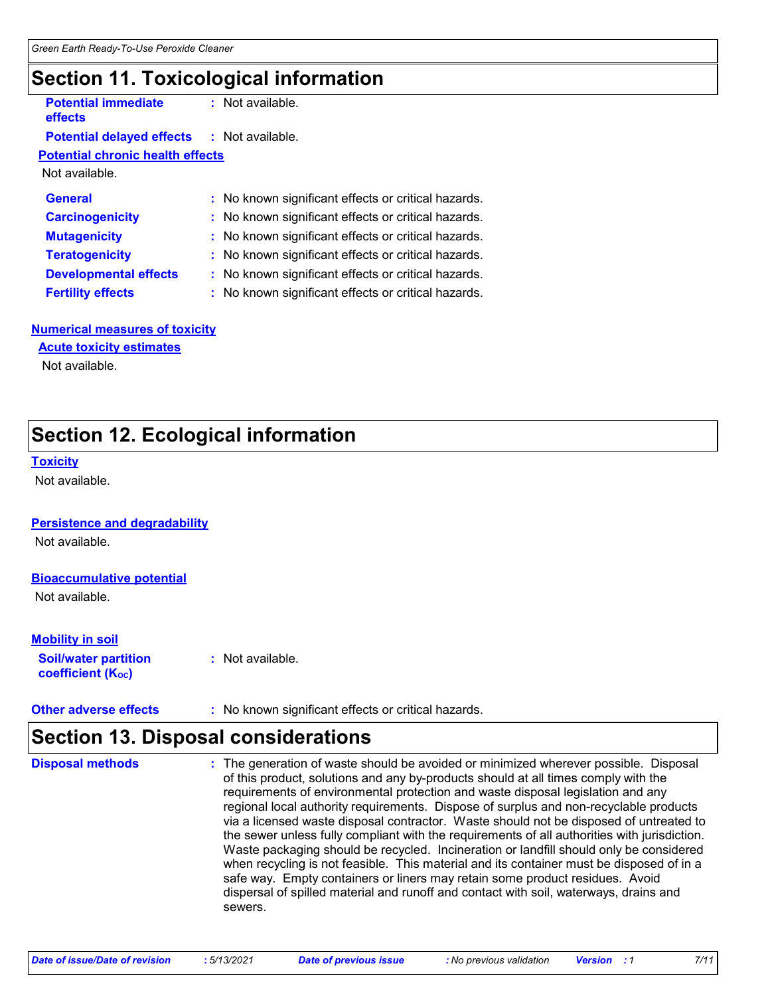### **Section 11. Toxicological information**

**Potential immediate effects**

**:** Not available.

#### **Potential delayed effects :** Not available.

**Potential chronic health effects**

Not available.

| <b>General</b>               | : No known significant effects or critical hazards. |
|------------------------------|-----------------------------------------------------|
| <b>Carcinogenicity</b>       | : No known significant effects or critical hazards. |
| <b>Mutagenicity</b>          | : No known significant effects or critical hazards. |
| <b>Teratogenicity</b>        | : No known significant effects or critical hazards. |
| <b>Developmental effects</b> | : No known significant effects or critical hazards. |
| <b>Fertility effects</b>     | : No known significant effects or critical hazards. |

#### **Numerical measures of toxicity**

**Acute toxicity estimates**

Not available.

### **Section 12. Ecological information**

#### **Toxicity**

Not available.

#### **Persistence and degradability**

Not available.

#### **Bioaccumulative potential**

Not available.

#### **Mobility in soil**

**Soil/water partition coefficient (Koc)** 

**:** Not available.

**Other adverse effects** : No known significant effects or critical hazards.

### **Section 13. Disposal considerations**

The generation of waste should be avoided or minimized wherever possible. Disposal of this product, solutions and any by-products should at all times comply with the requirements of environmental protection and waste disposal legislation and any regional local authority requirements. Dispose of surplus and non-recyclable products via a licensed waste disposal contractor. Waste should not be disposed of untreated to the sewer unless fully compliant with the requirements of all authorities with jurisdiction. Waste packaging should be recycled. Incineration or landfill should only be considered when recycling is not feasible. This material and its container must be disposed of in a safe way. Empty containers or liners may retain some product residues. Avoid dispersal of spilled material and runoff and contact with soil, waterways, drains and sewers. **Disposal methods :**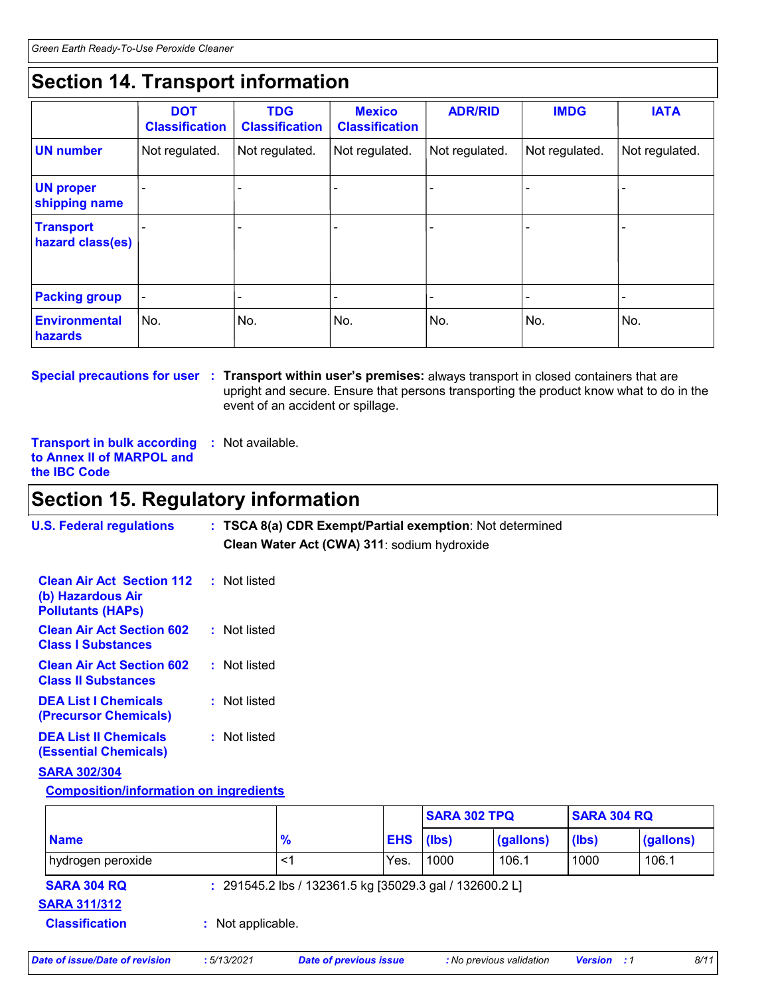### **Section 14. Transport information**

|                                      | <b>DOT</b><br><b>Classification</b> | <b>TDG</b><br><b>Classification</b> | <b>Mexico</b><br><b>Classification</b> | <b>ADR/RID</b> | <b>IMDG</b>    | <b>IATA</b>    |
|--------------------------------------|-------------------------------------|-------------------------------------|----------------------------------------|----------------|----------------|----------------|
| <b>UN number</b>                     | Not regulated.                      | Not regulated.                      | Not regulated.                         | Not regulated. | Not regulated. | Not regulated. |
| <b>UN proper</b><br>shipping name    |                                     |                                     |                                        |                |                |                |
| <b>Transport</b><br>hazard class(es) |                                     |                                     |                                        |                |                |                |
| <b>Packing group</b>                 |                                     |                                     |                                        |                |                |                |
| Environmental<br>hazards             | No.                                 | No.                                 | No.                                    | No.            | No.            | No.            |

**Special precautions for user** : Transport within user's premises: always transport in closed containers that are upright and secure. Ensure that persons transporting the product know what to do in the event of an accident or spillage.

**Transport in bulk according :** Not available. **to Annex II of MARPOL and the IBC Code**

### **Section 15. Regulatory information**

| <b>U.S. Federal regulations</b>                                                   |  | : TSCA 8(a) CDR Exempt/Partial exemption: Not determined |                     |                    |
|-----------------------------------------------------------------------------------|--|----------------------------------------------------------|---------------------|--------------------|
|                                                                                   |  | Clean Water Act (CWA) 311: sodium hydroxide              |                     |                    |
| <b>Clean Air Act Section 112</b><br>(b) Hazardous Air<br><b>Pollutants (HAPs)</b> |  | : Not listed                                             |                     |                    |
| <b>Clean Air Act Section 602</b><br><b>Class I Substances</b>                     |  | : Not listed                                             |                     |                    |
| <b>Clean Air Act Section 602</b><br><b>Class II Substances</b>                    |  | : Not listed                                             |                     |                    |
| <b>DEA List I Chemicals</b><br>(Precursor Chemicals)                              |  | : Not listed                                             |                     |                    |
| <b>DEA List II Chemicals</b><br><b>(Essential Chemicals)</b>                      |  | : Not listed                                             |                     |                    |
| <b>SARA 302/304</b>                                                               |  |                                                          |                     |                    |
| <b>Composition/information on ingredients</b>                                     |  |                                                          |                     |                    |
|                                                                                   |  |                                                          | <b>SARA 302 TPQ</b> | <b>SARA 304 RQ</b> |

|                                           |                   |               |                                                         | <b>SARA 302 TPQ</b> |           | <b>SARA 304 RQ</b> |           |
|-------------------------------------------|-------------------|---------------|---------------------------------------------------------|---------------------|-----------|--------------------|-----------|
| <b>Name</b>                               |                   | $\frac{9}{6}$ |                                                         | (lbs)               | (gallons) | (lbs)              | (gallons) |
| hydrogen peroxide                         |                   | <1            | Yes.                                                    | 1000                | 106.1     | 1000               | 106.1     |
| <b>SARA 304 RQ</b><br><b>SARA 311/312</b> |                   |               | : 291545.2 lbs / 132361.5 kg [35029.3 gal / 132600.2 L] |                     |           |                    |           |
| <b>Classification</b>                     | : Not applicable. |               |                                                         |                     |           |                    |           |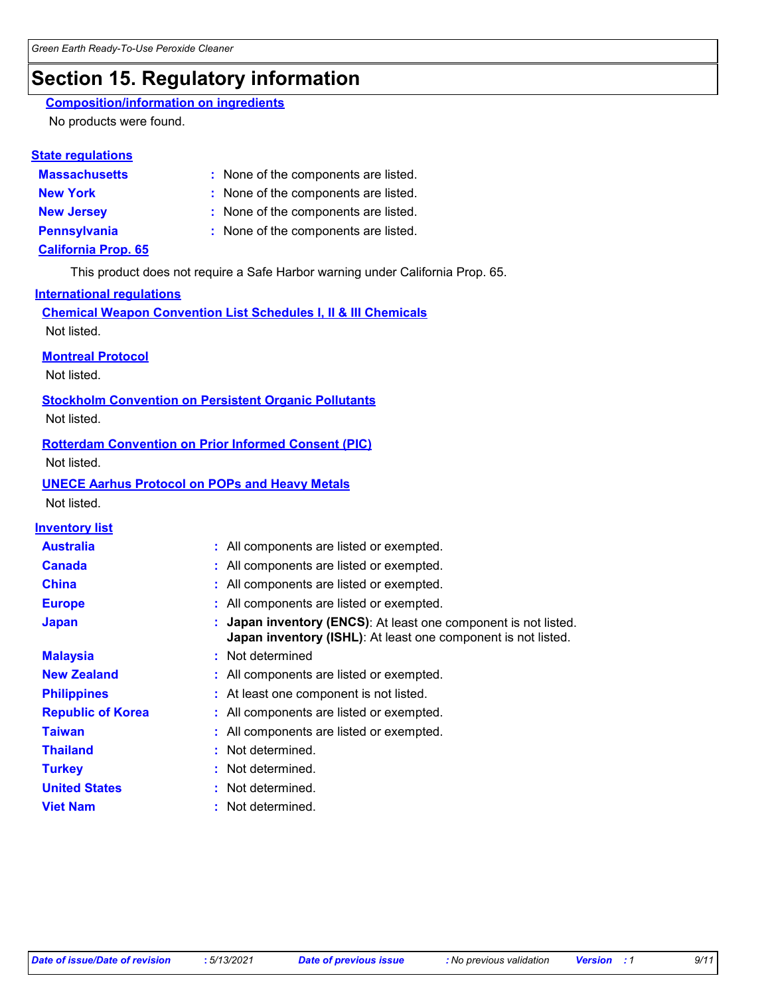### **Section 15. Regulatory information**

#### **Composition/information on ingredients**

No products were found.

#### **State regulations**

**Massachusetts :**

#### : None of the components are listed.

- **New York :** None of the components are listed.
- **New Jersey :** None of the components are listed.
- 
- **Pennsylvania :** None of the components are listed.

#### **California Prop. 65**

This product does not require a Safe Harbor warning under California Prop. 65.

#### **International regulations**

**Chemical Weapon Convention List Schedules I, II & III Chemicals** Not listed.

#### **Montreal Protocol**

Not listed.

**Stockholm Convention on Persistent Organic Pollutants**

Not listed.

#### **Rotterdam Convention on Prior Informed Consent (PIC)**

Not listed.

#### **UNECE Aarhus Protocol on POPs and Heavy Metals**

Not listed.

#### **Inventory list**

| <b>Australia</b>         | : All components are listed or exempted.                                                                                         |
|--------------------------|----------------------------------------------------------------------------------------------------------------------------------|
| <b>Canada</b>            | : All components are listed or exempted.                                                                                         |
| <b>China</b>             | : All components are listed or exempted.                                                                                         |
| <b>Europe</b>            | : All components are listed or exempted.                                                                                         |
| <b>Japan</b>             | : Japan inventory (ENCS): At least one component is not listed.<br>Japan inventory (ISHL): At least one component is not listed. |
| <b>Malaysia</b>          | : Not determined                                                                                                                 |
| <b>New Zealand</b>       | : All components are listed or exempted.                                                                                         |
| <b>Philippines</b>       | : At least one component is not listed.                                                                                          |
| <b>Republic of Korea</b> | : All components are listed or exempted.                                                                                         |
| <b>Taiwan</b>            | : All components are listed or exempted.                                                                                         |
| <b>Thailand</b>          | : Not determined.                                                                                                                |
| <b>Turkey</b>            | : Not determined.                                                                                                                |
| <b>United States</b>     | : Not determined.                                                                                                                |
| <b>Viet Nam</b>          | : Not determined.                                                                                                                |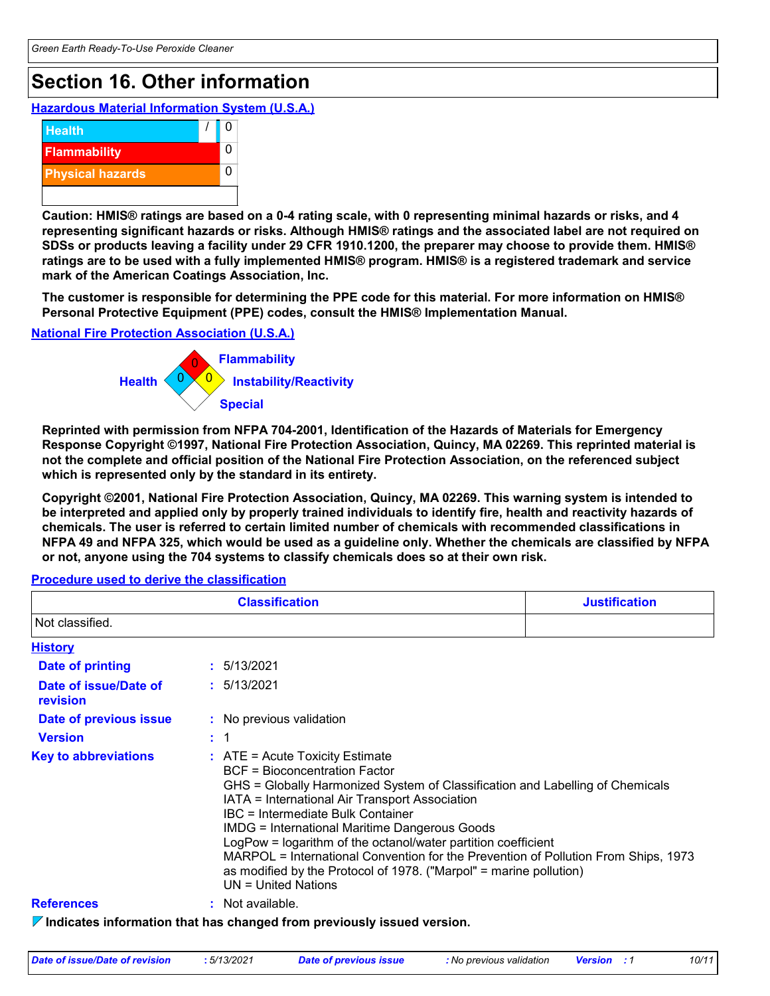### **Section 16. Other information**

**Hazardous Material Information System (U.S.A.)**



**Caution: HMIS® ratings are based on a 0-4 rating scale, with 0 representing minimal hazards or risks, and 4 representing significant hazards or risks. Although HMIS® ratings and the associated label are not required on SDSs or products leaving a facility under 29 CFR 1910.1200, the preparer may choose to provide them. HMIS® ratings are to be used with a fully implemented HMIS® program. HMIS® is a registered trademark and service mark of the American Coatings Association, Inc.**

**The customer is responsible for determining the PPE code for this material. For more information on HMIS® Personal Protective Equipment (PPE) codes, consult the HMIS® Implementation Manual.**

**National Fire Protection Association (U.S.A.)**



**Reprinted with permission from NFPA 704-2001, Identification of the Hazards of Materials for Emergency Response Copyright ©1997, National Fire Protection Association, Quincy, MA 02269. This reprinted material is not the complete and official position of the National Fire Protection Association, on the referenced subject which is represented only by the standard in its entirety.**

**Copyright ©2001, National Fire Protection Association, Quincy, MA 02269. This warning system is intended to be interpreted and applied only by properly trained individuals to identify fire, health and reactivity hazards of chemicals. The user is referred to certain limited number of chemicals with recommended classifications in NFPA 49 and NFPA 325, which would be used as a guideline only. Whether the chemicals are classified by NFPA or not, anyone using the 704 systems to classify chemicals does so at their own risk.**

#### **Procedure used to derive the classification**

|                                   | <b>Classification</b>                                                                                                                                                                                                                                                                                                                                                                                                                                                                                                                                    | <b>Justification</b> |
|-----------------------------------|----------------------------------------------------------------------------------------------------------------------------------------------------------------------------------------------------------------------------------------------------------------------------------------------------------------------------------------------------------------------------------------------------------------------------------------------------------------------------------------------------------------------------------------------------------|----------------------|
| Not classified.                   |                                                                                                                                                                                                                                                                                                                                                                                                                                                                                                                                                          |                      |
| <b>History</b>                    |                                                                                                                                                                                                                                                                                                                                                                                                                                                                                                                                                          |                      |
| <b>Date of printing</b>           | : 5/13/2021                                                                                                                                                                                                                                                                                                                                                                                                                                                                                                                                              |                      |
| Date of issue/Date of<br>revision | : 5/13/2021                                                                                                                                                                                                                                                                                                                                                                                                                                                                                                                                              |                      |
| Date of previous issue            | : No previous validation                                                                                                                                                                                                                                                                                                                                                                                                                                                                                                                                 |                      |
| <b>Version</b>                    | : 1                                                                                                                                                                                                                                                                                                                                                                                                                                                                                                                                                      |                      |
| <b>Key to abbreviations</b>       | $:$ ATE = Acute Toxicity Estimate<br>BCF = Bioconcentration Factor<br>GHS = Globally Harmonized System of Classification and Labelling of Chemicals<br>IATA = International Air Transport Association<br>IBC = Intermediate Bulk Container<br><b>IMDG = International Maritime Dangerous Goods</b><br>LogPow = logarithm of the octanol/water partition coefficient<br>MARPOL = International Convention for the Prevention of Pollution From Ships, 1973<br>as modified by the Protocol of 1978. ("Marpol" = marine pollution)<br>$UN = United Nations$ |                      |
| <b>References</b>                 | : Not available.                                                                                                                                                                                                                                                                                                                                                                                                                                                                                                                                         |                      |
|                                   | $\triangledown$ Indicates information that has changed from previously issued version.                                                                                                                                                                                                                                                                                                                                                                                                                                                                   |                      |